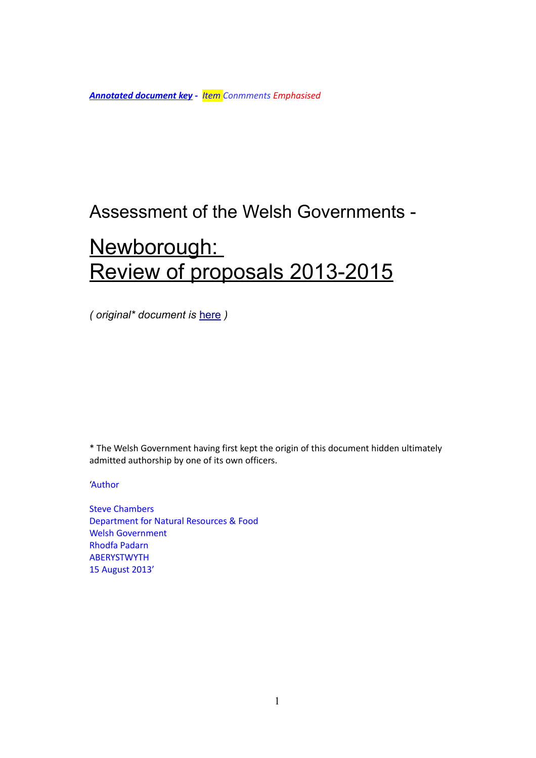*Annotated document key - Item Conmments Emphasised*

# Assessment of the Welsh Governments -

# Newborough: Review of proposals 2013-2015

*( original\* document is* [here](http://gov.wales/topics/environmentcountryside/consmanagement/conservationbiodiversity/newborough/?lang=en) *)*

\* The Welsh Government having first kept the origin of this document hidden ultimately admitted authorship by one of its own officers.

# 'Author

Steve Chambers Department for Natural Resources & Food Welsh Government Rhodfa Padarn **ABERYSTWYTH** 15 August 2013'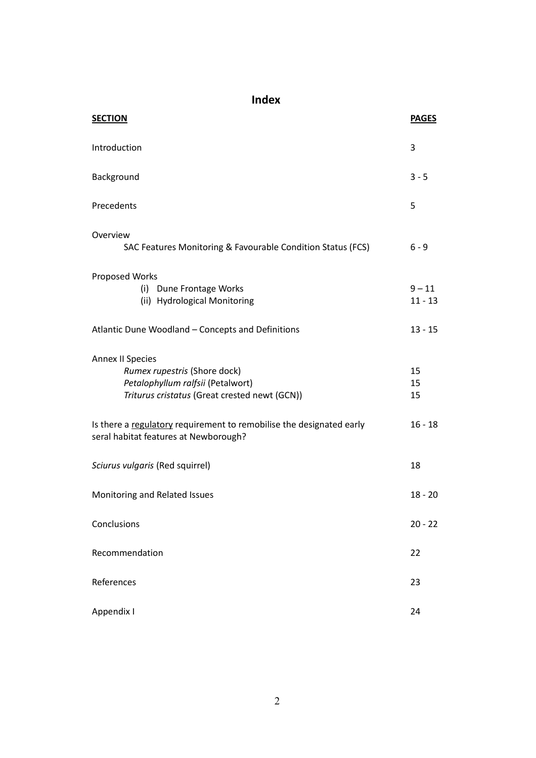**Index**

| <b>SECTION</b>                                                                                                                                | <b>PAGES</b>          |
|-----------------------------------------------------------------------------------------------------------------------------------------------|-----------------------|
| Introduction                                                                                                                                  | 3                     |
| Background                                                                                                                                    | $3 - 5$               |
| Precedents                                                                                                                                    | 5                     |
| Overview<br>SAC Features Monitoring & Favourable Condition Status (FCS)                                                                       | $6 - 9$               |
| Proposed Works<br>(i) Dune Frontage Works<br>(ii) Hydrological Monitoring                                                                     | $9 - 11$<br>$11 - 13$ |
| Atlantic Dune Woodland - Concepts and Definitions                                                                                             | $13 - 15$             |
| <b>Annex II Species</b><br>Rumex rupestris (Shore dock)<br>Petalophyllum ralfsii (Petalwort)<br>Triturus cristatus (Great crested newt (GCN)) | 15<br>15<br>15        |
| Is there a regulatory requirement to remobilise the designated early<br>seral habitat features at Newborough?                                 | $16 - 18$             |
| Sciurus vulgaris (Red squirrel)                                                                                                               | 18                    |
| Monitoring and Related Issues                                                                                                                 | $18 - 20$             |
| Conclusions                                                                                                                                   | $20 - 22$             |
| Recommendation                                                                                                                                | 22                    |
| References                                                                                                                                    | 23                    |
| Appendix I                                                                                                                                    | 24                    |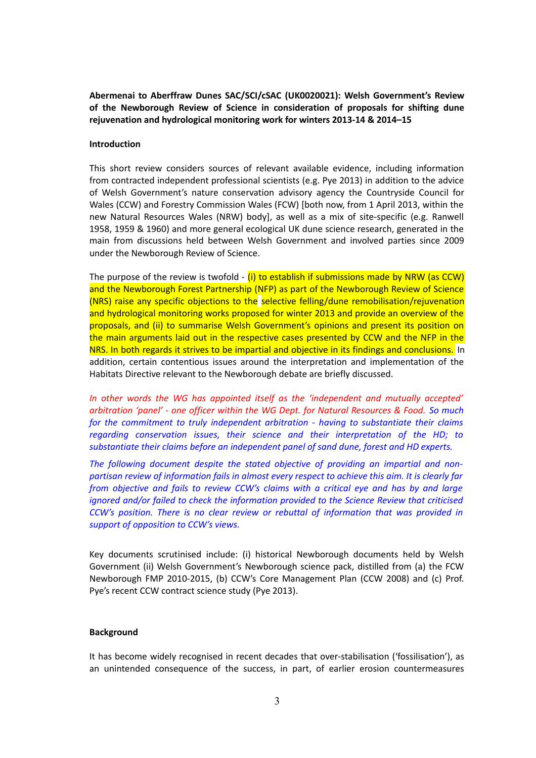**Abermenai to Aberffraw Dunes SAC/SCI/cSAC (UK0020021): Welsh Government's Review of the Newborough Review of Science in consideration of proposals for shifting dune rejuvenation and hydrological monitoring work for winters 2013-14 & 2014–15**

# **Introduction**

This short review considers sources of relevant available evidence, including information from contracted independent professional scientists (e.g. Pye 2013) in addition to the advice of Welsh Government's nature conservation advisory agency the Countryside Council for Wales (CCW) and Forestry Commission Wales (FCW) [both now, from 1 April 2013, within the new Natural Resources Wales (NRW) body], as well as a mix of site-specific (e.g. Ranwell 1958, 1959 & 1960) and more general ecological UK dune science research, generated in the main from discussions held between Welsh Government and involved parties since 2009 under the Newborough Review of Science.

The purpose of the review is twofold -  $(i)$  to establish if submissions made by NRW (as CCW) and the Newborough Forest Partnership (NFP) as part of the Newborough Review of Science (NRS) raise any specific objections to the selective felling/dune remobilisation/rejuvenation and hydrological monitoring works proposed for winter 2013 and provide an overview of the proposals, and (ii) to summarise Welsh Government's opinions and present its position on the main arguments laid out in the respective cases presented by CCW and the NFP in the NRS. In both regards it strives to be impartial and objective in its findings and conclusions. In addition, certain contentious issues around the interpretation and implementation of the Habitats Directive relevant to the Newborough debate are briefly discussed.

*In other words the WG has appointed itself as the 'independent and mutually accepted' arbitration 'panel' - one officer within the WG Dept. for Natural Resources & Food. So much for the commitment to truly independent arbitration - having to substantiate their claims regarding conservation issues, their science and their interpretation of the HD; to substantiate their claims before an independent panel of sand dune, forest and HD experts.*

*The following document despite the stated objective of providing an impartial and nonpartisan review of information fails in almost every respect to achieve this aim. It is clearly far from objective and fails to review CCW's claims with a critical eye and has by and large ignored and/or failed to check the information provided to the Science Review that criticised CCW's position. There is no clear review or rebuttal of information that was provided in support of opposition to CCW's views.*

Key documents scrutinised include: (i) historical Newborough documents held by Welsh Government (ii) Welsh Government's Newborough science pack, distilled from (a) the FCW Newborough FMP 2010-2015, (b) CCW's Core Management Plan (CCW 2008) and (c) Prof. Pye's recent CCW contract science study (Pye 2013).

# **Background**

It has become widely recognised in recent decades that over-stabilisation ('fossilisation'), as an unintended consequence of the success, in part, of earlier erosion countermeasures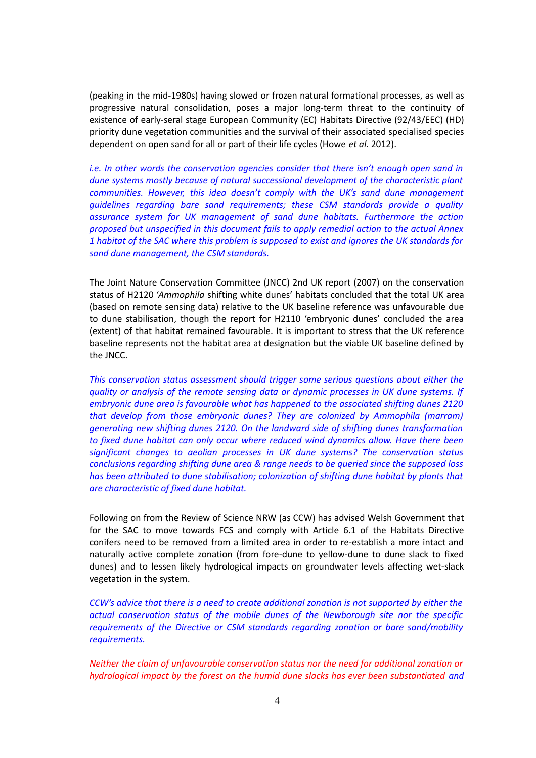(peaking in the mid-1980s) having slowed or frozen natural formational processes, as well as progressive natural consolidation, poses a major long-term threat to the continuity of existence of early-seral stage European Community (EC) Habitats Directive (92/43/EEC) (HD) priority dune vegetation communities and the survival of their associated specialised species dependent on open sand for all or part of their life cycles (Howe *et al.* 2012).

*i.e. In other words the conservation agencies consider that there isn't enough open sand in dune systems mostly because of natural successional development of the characteristic plant communities. However, this idea doesn't comply with the UK's sand dune management guidelines regarding bare sand requirements; these CSM standards provide a quality assurance system for UK management of sand dune habitats. Furthermore the action proposed but unspecified in this document fails to apply remedial action to the actual Annex 1 habitat of the SAC where this problem is supposed to exist and ignores the UK standards for sand dune management, the CSM standards.*

The Joint Nature Conservation Committee (JNCC) 2nd UK report (2007) on the conservation status of H2120 '*Ammophila* shifting white dunes' habitats concluded that the total UK area (based on remote sensing data) relative to the UK baseline reference was unfavourable due to dune stabilisation, though the report for H2110 'embryonic dunes' concluded the area (extent) of that habitat remained favourable. It is important to stress that the UK reference baseline represents not the habitat area at designation but the viable UK baseline defined by the JNCC.

*This conservation status assessment should trigger some serious questions about either the quality or analysis of the remote sensing data or dynamic processes in UK dune systems. If embryonic dune area is favourable what has happened to the associated shifting dunes 2120 that develop from those embryonic dunes? They are colonized by Ammophila (marram) generating new shifting dunes 2120. On the landward side of shifting dunes transformation to fixed dune habitat can only occur where reduced wind dynamics allow. Have there been significant changes to aeolian processes in UK dune systems? The conservation status conclusions regarding shifting dune area & range needs to be queried since the supposed loss has been attributed to dune stabilisation; colonization of shifting dune habitat by plants that are characteristic of fixed dune habitat.*

Following on from the Review of Science NRW (as CCW) has advised Welsh Government that for the SAC to move towards FCS and comply with Article 6.1 of the Habitats Directive conifers need to be removed from a limited area in order to re-establish a more intact and naturally active complete zonation (from fore-dune to yellow-dune to dune slack to fixed dunes) and to lessen likely hydrological impacts on groundwater levels affecting wet-slack vegetation in the system.

*CCW's advice that there is a need to create additional zonation is not supported by either the actual conservation status of the mobile dunes of the Newborough site nor the specific requirements of the Directive or CSM standards regarding zonation or bare sand/mobility requirements.*

*Neither the claim of unfavourable conservation status nor the need for additional zonation or hydrological impact by the forest on the humid dune slacks has ever been substantiated and*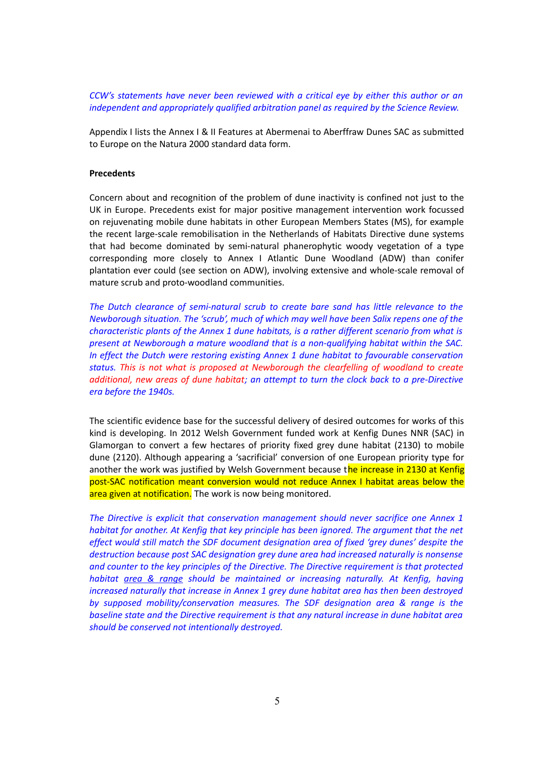*CCW's statements have never been reviewed with a critical eye by either this author or an independent and appropriately qualified arbitration panel as required by the Science Review.*

Appendix I lists the Annex I & II Features at Abermenai to Aberffraw Dunes SAC as submitted to Europe on the Natura 2000 standard data form.

#### **Precedents**

Concern about and recognition of the problem of dune inactivity is confined not just to the UK in Europe. Precedents exist for major positive management intervention work focussed on rejuvenating mobile dune habitats in other European Members States (MS), for example the recent large-scale remobilisation in the Netherlands of Habitats Directive dune systems that had become dominated by semi-natural phanerophytic woody vegetation of a type corresponding more closely to Annex I Atlantic Dune Woodland (ADW) than conifer plantation ever could (see section on ADW), involving extensive and whole-scale removal of mature scrub and proto-woodland communities.

*The Dutch clearance of semi-natural scrub to create bare sand has little relevance to the Newborough situation. The 'scrub', much of which may well have been Salix repens one of the characteristic plants of the Annex 1 dune habitats, is a rather different scenario from what is present at Newborough a mature woodland that is a non-qualifying habitat within the SAC. In effect the Dutch were restoring existing Annex 1 dune habitat to favourable conservation status. This is not what is proposed at Newborough the clearfelling of woodland to create additional, new areas of dune habitat; an attempt to turn the clock back to a pre-Directive era before the 1940s.*

The scientific evidence base for the successful delivery of desired outcomes for works of this kind is developing. In 2012 Welsh Government funded work at Kenfig Dunes NNR (SAC) in Glamorgan to convert a few hectares of priority fixed grey dune habitat (2130) to mobile dune (2120). Although appearing a 'sacrificial' conversion of one European priority type for another the work was justified by Welsh Government because the increase in 2130 at Kenfig post-SAC notification meant conversion would not reduce Annex I habitat areas below the area given at notification. The work is now being monitored.

*The Directive is explicit that conservation management should never sacrifice one Annex 1 habitat for another. At Kenfig that key principle has been ignored. The argument that the net effect would still match the SDF document designation area of fixed 'grey dunes' despite the destruction because post SAC designation grey dune area had increased naturally is nonsense and counter to the key principles of the Directive. The Directive requirement is that protected habitat area & range should be maintained or increasing naturally. At Kenfig, having increased naturally that increase in Annex 1 grey dune habitat area has then been destroyed by supposed mobility/conservation measures. The SDF designation area & range is the baseline state and the Directive requirement is that any natural increase in dune habitat area should be conserved not intentionally destroyed.*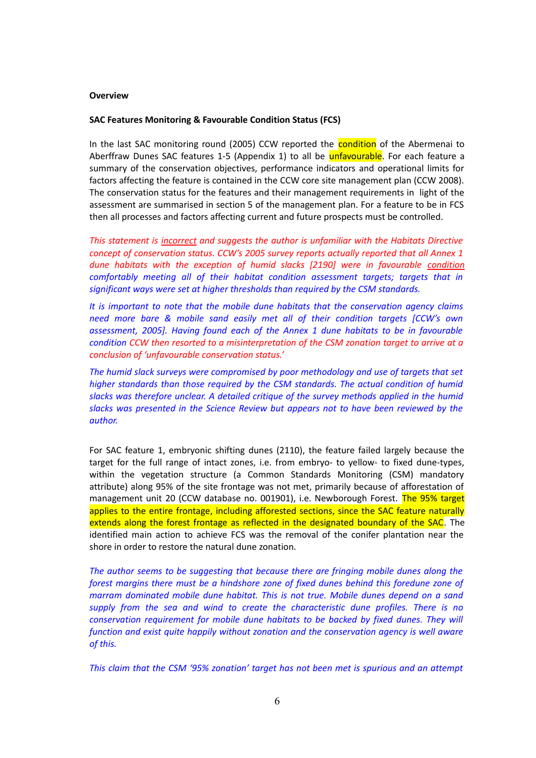#### **Overview**

#### **SAC Features Monitoring & Favourable Condition Status (FCS)**

In the last SAC monitoring round (2005) CCW reported the **condition** of the Abermenai to Aberffraw Dunes SAC features 1-5 (Appendix 1) to all be **unfavourable**. For each feature a summary of the conservation objectives, performance indicators and operational limits for factors affecting the feature is contained in the CCW core site management plan (CCW 2008). The conservation status for the features and their management requirements in light of the assessment are summarised in section 5 of the management plan. For a feature to be in FCS then all processes and factors affecting current and future prospects must be controlled.

*This statement is incorrect and suggests the author is unfamiliar with the Habitats Directive concept of conservation status. CCW's 2005 survey reports actually reported that all Annex 1 dune habitats with the exception of humid slacks [2190] were in favourable condition comfortably meeting all of their habitat condition assessment targets; targets that in significant ways were set at higher thresholds than required by the CSM standards.*

*It is important to note that the mobile dune habitats that the conservation agency claims need more bare & mobile sand easily met all of their condition targets [CCW's own assessment, 2005]. Having found each of the Annex 1 dune habitats to be in favourable condition CCW then resorted to a misinterpretation of the CSM zonation target to arrive at a conclusion of 'unfavourable conservation status.'*

*The humid slack surveys were compromised by poor methodology and use of targets that set higher standards than those required by the CSM standards. The actual condition of humid slacks was therefore unclear. A detailed critique of the survey methods applied in the humid slacks was presented in the Science Review but appears not to have been reviewed by the author.*

For SAC feature 1, embryonic shifting dunes (2110), the feature failed largely because the target for the full range of intact zones, i.e. from embryo- to yellow- to fixed dune-types, within the vegetation structure (a Common Standards Monitoring (CSM) mandatory attribute) along 95% of the site frontage was not met, primarily because of afforestation of management unit 20 (CCW database no. 001901), i.e. Newborough Forest. The 95% target applies to the entire frontage, including afforested sections, since the SAC feature naturally extends along the forest frontage as reflected in the designated boundary of the SAC. The identified main action to achieve FCS was the removal of the conifer plantation near the shore in order to restore the natural dune zonation.

*The author seems to be suggesting that because there are fringing mobile dunes along the forest margins there must be a hindshore zone of fixed dunes behind this foredune zone of marram dominated mobile dune habitat. This is not true. Mobile dunes depend on a sand supply from the sea and wind to create the characteristic dune profiles. There is no conservation requirement for mobile dune habitats to be backed by fixed dunes. They will function and exist quite happily without zonation and the conservation agency is well aware of this.*

*This claim that the CSM '95% zonation' target has not been met is spurious and an attempt*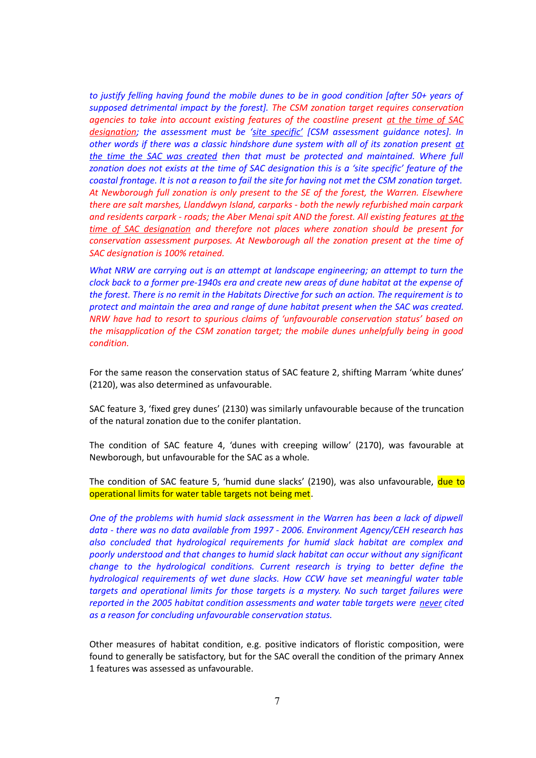*to justify felling having found the mobile dunes to be in good condition [after 50+ years of supposed detrimental impact by the forest]. The CSM zonation target requires conservation agencies to take into account existing features of the coastline present at the time of SAC designation; the assessment must be 'site specific' [CSM assessment guidance notes]. In other words if there was a classic hindshore dune system with all of its zonation present at the time the SAC was created then that must be protected and maintained. Where full zonation does not exists at the time of SAC designation this is a 'site specific' feature of the coastal frontage. It is not a reason to fail the site for having not met the CSM zonation target. At Newborough full zonation is only present to the SE of the forest, the Warren. Elsewhere there are salt marshes, Llanddwyn Island, carparks - both the newly refurbished main carpark and residents carpark - roads; the Aber Menai spit AND the forest. All existing features at the time of SAC designation and therefore not places where zonation should be present for conservation assessment purposes. At Newborough all the zonation present at the time of SAC designation is 100% retained.*

*What NRW are carrying out is an attempt at landscape engineering; an attempt to turn the clock back to a former pre-1940s era and create new areas of dune habitat at the expense of the forest. There is no remit in the Habitats Directive for such an action. The requirement is to protect and maintain the area and range of dune habitat present when the SAC was created. NRW have had to resort to spurious claims of 'unfavourable conservation status' based on the misapplication of the CSM zonation target; the mobile dunes unhelpfully being in good condition.*

For the same reason the conservation status of SAC feature 2, shifting Marram 'white dunes' (2120), was also determined as unfavourable.

SAC feature 3, 'fixed grey dunes' (2130) was similarly unfavourable because of the truncation of the natural zonation due to the conifer plantation.

The condition of SAC feature 4, 'dunes with creeping willow' (2170), was favourable at Newborough, but unfavourable for the SAC as a whole.

The condition of SAC feature 5, 'humid dune slacks' (2190), was also unfavourable, due to operational limits for water table targets not being met.

*One of the problems with humid slack assessment in the Warren has been a lack of dipwell data - there was no data available from 1997 - 2006. Environment Agency/CEH research has also concluded that hydrological requirements for humid slack habitat are complex and poorly understood and that changes to humid slack habitat can occur without any significant change to the hydrological conditions. Current research is trying to better define the hydrological requirements of wet dune slacks. How CCW have set meaningful water table targets and operational limits for those targets is a mystery. No such target failures were reported in the 2005 habitat condition assessments and water table targets were never cited as a reason for concluding unfavourable conservation status.*

Other measures of habitat condition, e.g. positive indicators of floristic composition, were found to generally be satisfactory, but for the SAC overall the condition of the primary Annex 1 features was assessed as unfavourable.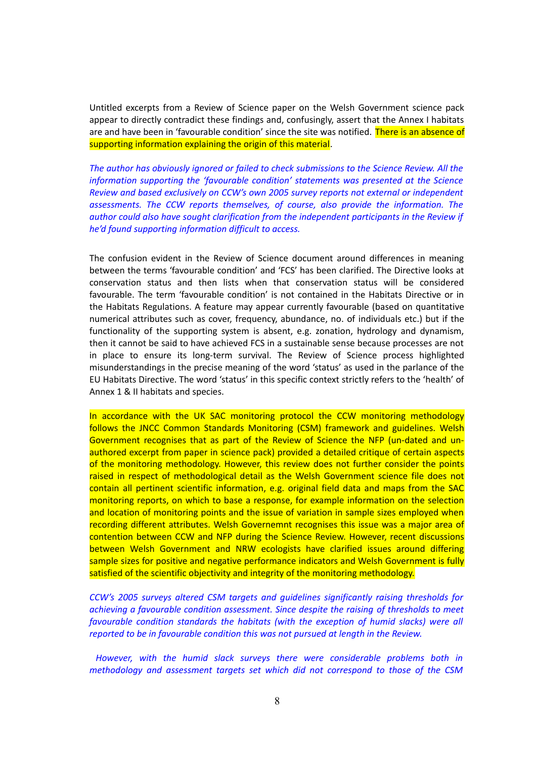Untitled excerpts from a Review of Science paper on the Welsh Government science pack appear to directly contradict these findings and, confusingly, assert that the Annex I habitats are and have been in 'favourable condition' since the site was notified. There is an absence of supporting information explaining the origin of this material.

*The author has obviously ignored or failed to check submissions to the Science Review. All the information supporting the 'favourable condition' statements was presented at the Science Review and based exclusively on CCW's own 2005 survey reports not external or independent assessments. The CCW reports themselves, of course, also provide the information. The author could also have sought clarification from the independent participants in the Review if he'd found supporting information difficult to access.*

The confusion evident in the Review of Science document around differences in meaning between the terms 'favourable condition' and 'FCS' has been clarified. The Directive looks at conservation status and then lists when that conservation status will be considered favourable. The term 'favourable condition' is not contained in the Habitats Directive or in the Habitats Regulations. A feature may appear currently favourable (based on quantitative numerical attributes such as cover, frequency, abundance, no. of individuals etc.) but if the functionality of the supporting system is absent, e.g. zonation, hydrology and dynamism, then it cannot be said to have achieved FCS in a sustainable sense because processes are not in place to ensure its long-term survival. The Review of Science process highlighted misunderstandings in the precise meaning of the word 'status' as used in the parlance of the EU Habitats Directive. The word 'status' in this specific context strictly refers to the 'health' of Annex 1 & II habitats and species.

In accordance with the UK SAC monitoring protocol the CCW monitoring methodology follows the JNCC Common Standards Monitoring (CSM) framework and guidelines. Welsh Government recognises that as part of the Review of Science the NFP (un-dated and unauthored excerpt from paper in science pack) provided a detailed critique of certain aspects of the monitoring methodology. However, this review does not further consider the points raised in respect of methodological detail as the Welsh Government science file does not contain all pertinent scientific information, e.g. original field data and maps from the SAC monitoring reports, on which to base a response, for example information on the selection and location of monitoring points and the issue of variation in sample sizes employed when recording different attributes. Welsh Governemnt recognises this issue was a major area of contention between CCW and NFP during the Science Review. However, recent discussions between Welsh Government and NRW ecologists have clarified issues around differing sample sizes for positive and negative performance indicators and Welsh Government is fully satisfied of the scientific objectivity and integrity of the monitoring methodology.

*CCW's 2005 surveys altered CSM targets and guidelines significantly raising thresholds for achieving a favourable condition assessment. Since despite the raising of thresholds to meet favourable condition standards the habitats (with the exception of humid slacks) were all reported to be in favourable condition this was not pursued at length in the Review.*

 *However, with the humid slack surveys there were considerable problems both in methodology and assessment targets set which did not correspond to those of the CSM*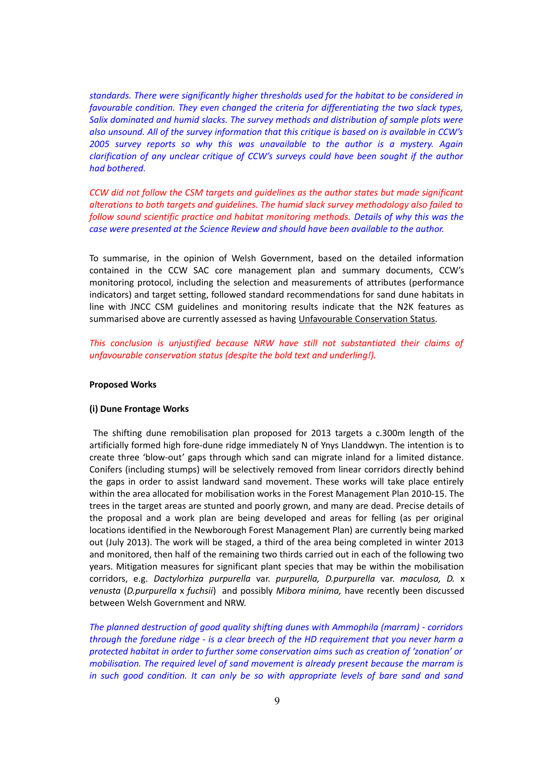*standards. There were significantly higher thresholds used for the habitat to be considered in favourable condition. They even changed the criteria for differentiating the two slack types, Salix dominated and humid slacks. The survey methods and distribution of sample plots were also unsound. All of the survey information that this critique is based on is available in CCW's 2005 survey reports so why this was unavailable to the author is a mystery. Again clarification of any unclear critique of CCW's surveys could have been sought if the author had bothered.* 

*CCW did not follow the CSM targets and guidelines as the author states but made significant alterations to both targets and guidelines. The humid slack survey methodology also failed to follow sound scientific practice and habitat monitoring methods. Details of why this was the case were presented at the Science Review and should have been available to the author.*

To summarise, in the opinion of Welsh Government, based on the detailed information contained in the CCW SAC core management plan and summary documents, CCW's monitoring protocol, including the selection and measurements of attributes (performance indicators) and target setting, followed standard recommendations for sand dune habitats in line with JNCC CSM guidelines and monitoring results indicate that the N2K features as summarised above are currently assessed as having Unfavourable Conservation Status.

*This conclusion is unjustified because NRW have still not substantiated their claims of unfavourable conservation status (despite the bold text and underling!).*

# **Proposed Works**

#### **(i) Dune Frontage Works**

The shifting dune remobilisation plan proposed for 2013 targets a c.300m length of the artificially formed high fore-dune ridge immediately N of Ynys Llanddwyn. The intention is to create three 'blow-out' gaps through which sand can migrate inland for a limited distance. Conifers (including stumps) will be selectively removed from linear corridors directly behind the gaps in order to assist landward sand movement. These works will take place entirely within the area allocated for mobilisation works in the Forest Management Plan 2010-15. The trees in the target areas are stunted and poorly grown, and many are dead. Precise details of the proposal and a work plan are being developed and areas for felling (as per original locations identified in the Newborough Forest Management Plan) are currently being marked out (July 2013). The work will be staged, a third of the area being completed in winter 2013 and monitored, then half of the remaining two thirds carried out in each of the following two years. Mitigation measures for significant plant species that may be within the mobilisation corridors, e.g. *Dactylorhiza purpurella* var. *purpurella, D.purpurella* var. *maculosa, D.* x *venusta* (*D.purpurella* x *fuchsii*) and possibly *Mibora minima,* have recently been discussed between Welsh Government and NRW.

*The planned destruction of good quality shifting dunes with Ammophila (marram) - corridors through the foredune ridge - is a clear breech of the HD requirement that you never harm a protected habitat in order to further some conservation aims such as creation of 'zonation' or mobilisation. The required level of sand movement is already present because the marram is in such good condition. It can only be so with appropriate levels of bare sand and sand*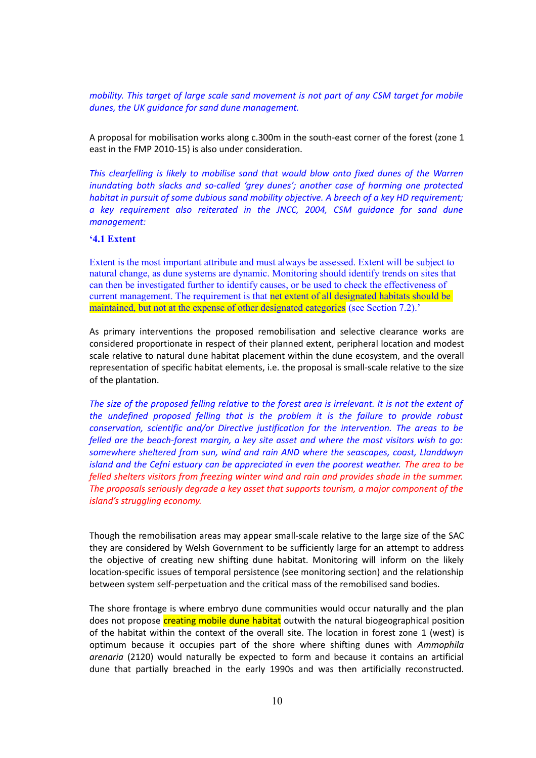*mobility. This target of large scale sand movement is not part of any CSM target for mobile dunes, the UK guidance for sand dune management.*

A proposal for mobilisation works along c.300m in the south-east corner of the forest (zone 1 east in the FMP 2010-15) is also under consideration.

*This clearfelling is likely to mobilise sand that would blow onto fixed dunes of the Warren inundating both slacks and so-called 'grey dunes'; another case of harming one protected habitat in pursuit of some dubious sand mobility objective. A breech of a key HD requirement; a key requirement also reiterated in the JNCC, 2004, CSM guidance for sand dune management:*

# **'4.1 Extent**

Extent is the most important attribute and must always be assessed. Extent will be subject to natural change, as dune systems are dynamic. Monitoring should identify trends on sites that can then be investigated further to identify causes, or be used to check the effectiveness of current management. The requirement is that net extent of all designated habitats should be maintained, but not at the expense of other designated categories (see Section 7.2).'

As primary interventions the proposed remobilisation and selective clearance works are considered proportionate in respect of their planned extent, peripheral location and modest scale relative to natural dune habitat placement within the dune ecosystem, and the overall representation of specific habitat elements, i.e. the proposal is small-scale relative to the size of the plantation.

*The size of the proposed felling relative to the forest area is irrelevant. It is not the extent of the undefined proposed felling that is the problem it is the failure to provide robust conservation, scientific and/or Directive justification for the intervention. The areas to be felled are the beach-forest margin, a key site asset and where the most visitors wish to go: somewhere sheltered from sun, wind and rain AND where the seascapes, coast, Llanddwyn island and the Cefni estuary can be appreciated in even the poorest weather. The area to be felled shelters visitors from freezing winter wind and rain and provides shade in the summer. The proposals seriously degrade a key asset that supports tourism, a major component of the island's struggling economy.*

Though the remobilisation areas may appear small-scale relative to the large size of the SAC they are considered by Welsh Government to be sufficiently large for an attempt to address the objective of creating new shifting dune habitat. Monitoring will inform on the likely location-specific issues of temporal persistence (see monitoring section) and the relationship between system self-perpetuation and the critical mass of the remobilised sand bodies.

The shore frontage is where embryo dune communities would occur naturally and the plan does not propose creating mobile dune habitat outwith the natural biogeographical position of the habitat within the context of the overall site. The location in forest zone 1 (west) is optimum because it occupies part of the shore where shifting dunes with *Ammophila arenaria* (2120) would naturally be expected to form and because it contains an artificial dune that partially breached in the early 1990s and was then artificially reconstructed.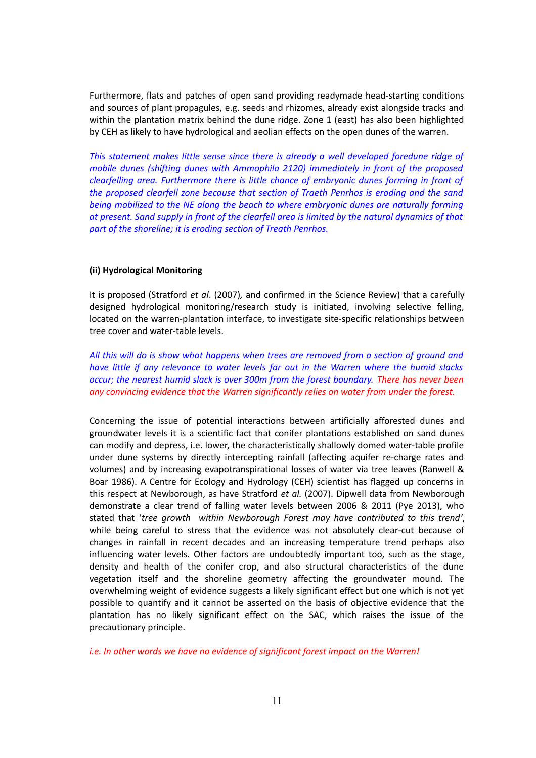Furthermore, flats and patches of open sand providing readymade head-starting conditions and sources of plant propagules, e.g. seeds and rhizomes, already exist alongside tracks and within the plantation matrix behind the dune ridge. Zone 1 (east) has also been highlighted by CEH as likely to have hydrological and aeolian effects on the open dunes of the warren.

*This statement makes little sense since there is already a well developed foredune ridge of mobile dunes (shifting dunes with Ammophila 2120) immediately in front of the proposed clearfelling area. Furthermore there is little chance of embryonic dunes forming in front of the proposed clearfell zone because that section of Traeth Penrhos is eroding and the sand being mobilized to the NE along the beach to where embryonic dunes are naturally forming at present. Sand supply in front of the clearfell area is limited by the natural dynamics of that part of the shoreline; it is eroding section of Treath Penrhos.*

# **(ii) Hydrological Monitoring**

It is proposed (Stratford *et al*. (2007)*,* and confirmed in the Science Review) that a carefully designed hydrological monitoring/research study is initiated, involving selective felling, located on the warren-plantation interface, to investigate site-specific relationships between tree cover and water-table levels.

*All this will do is show what happens when trees are removed from a section of ground and have little if any relevance to water levels far out in the Warren where the humid slacks occur; the nearest humid slack is over 300m from the forest boundary. There has never been any convincing evidence that the Warren significantly relies on water from under the forest.*

Concerning the issue of potential interactions between artificially afforested dunes and groundwater levels it is a scientific fact that conifer plantations established on sand dunes can modify and depress, i.e. lower, the characteristically shallowly domed water-table profile under dune systems by directly intercepting rainfall (affecting aquifer re-charge rates and volumes) and by increasing evapotranspirational losses of water via tree leaves (Ranwell & Boar 1986). A Centre for Ecology and Hydrology (CEH) scientist has flagged up concerns in this respect at Newborough, as have Stratford *et al.* (2007). Dipwell data from Newborough demonstrate a clear trend of falling water levels between 2006 & 2011 (Pye 2013), who stated that '*tree growth within Newborough Forest may have contributed to this trend*', while being careful to stress that the evidence was not absolutely clear-cut because of changes in rainfall in recent decades and an increasing temperature trend perhaps also influencing water levels. Other factors are undoubtedly important too, such as the stage, density and health of the conifer crop, and also structural characteristics of the dune vegetation itself and the shoreline geometry affecting the groundwater mound. The overwhelming weight of evidence suggests a likely significant effect but one which is not yet possible to quantify and it cannot be asserted on the basis of objective evidence that the plantation has no likely significant effect on the SAC, which raises the issue of the precautionary principle.

*i.e. In other words we have no evidence of significant forest impact on the Warren!*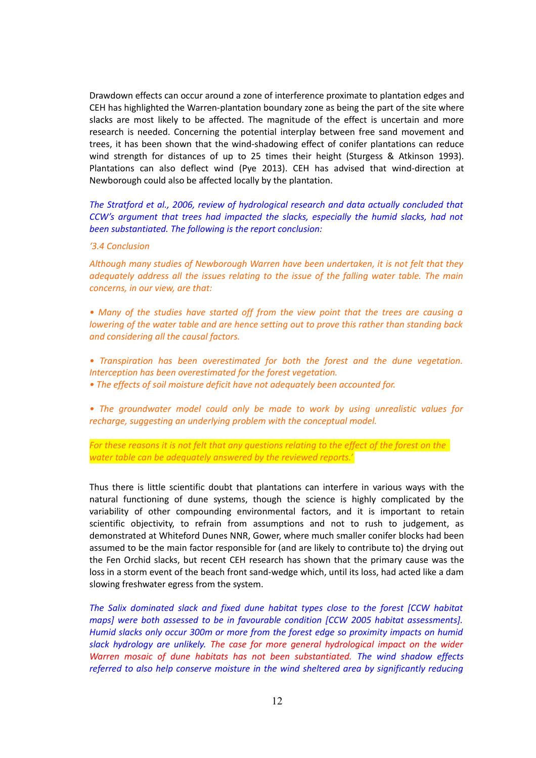Drawdown effects can occur around a zone of interference proximate to plantation edges and CEH has highlighted the Warren-plantation boundary zone as being the part of the site where slacks are most likely to be affected. The magnitude of the effect is uncertain and more research is needed. Concerning the potential interplay between free sand movement and trees, it has been shown that the wind-shadowing effect of conifer plantations can reduce wind strength for distances of up to 25 times their height (Sturgess & Atkinson 1993). Plantations can also deflect wind (Pye 2013). CEH has advised that wind-direction at Newborough could also be affected locally by the plantation.

*The Stratford et al., 2006, review of hydrological research and data actually concluded that CCW's argument that trees had impacted the slacks, especially the humid slacks, had not been substantiated. The following is the report conclusion:*

#### *'3.4 Conclusion*

*Although many studies of Newborough Warren have been undertaken, it is not felt that they adequately address all the issues relating to the issue of the falling water table. The main concerns, in our view, are that:*

*• Many of the studies have started off from the view point that the trees are causing a lowering of the water table and are hence setting out to prove this rather than standing back and considering all the causal factors.*

- *Transpiration has been overestimated for both the forest and the dune vegetation. Interception has been overestimated for the forest vegetation.*
- *The effects of soil moisture deficit have not adequately been accounted for.*

*• The groundwater model could only be made to work by using unrealistic values for recharge, suggesting an underlying problem with the conceptual model.*

*For these reasons it is not felt that any questions relating to the effect of the forest on the water table can be adequately answered by the reviewed reports.'*

Thus there is little scientific doubt that plantations can interfere in various ways with the natural functioning of dune systems, though the science is highly complicated by the variability of other compounding environmental factors, and it is important to retain scientific objectivity, to refrain from assumptions and not to rush to judgement, as demonstrated at Whiteford Dunes NNR, Gower, where much smaller conifer blocks had been assumed to be the main factor responsible for (and are likely to contribute to) the drying out the Fen Orchid slacks, but recent CEH research has shown that the primary cause was the loss in a storm event of the beach front sand-wedge which, until its loss, had acted like a dam slowing freshwater egress from the system.

*The Salix dominated slack and fixed dune habitat types close to the forest [CCW habitat maps] were both assessed to be in favourable condition [CCW 2005 habitat assessments]. Humid slacks only occur 300m or more from the forest edge so proximity impacts on humid slack hydrology are unlikely. The case for more general hydrological impact on the wider Warren mosaic of dune habitats has not been substantiated. The wind shadow effects referred to also help conserve moisture in the wind sheltered area by significantly reducing*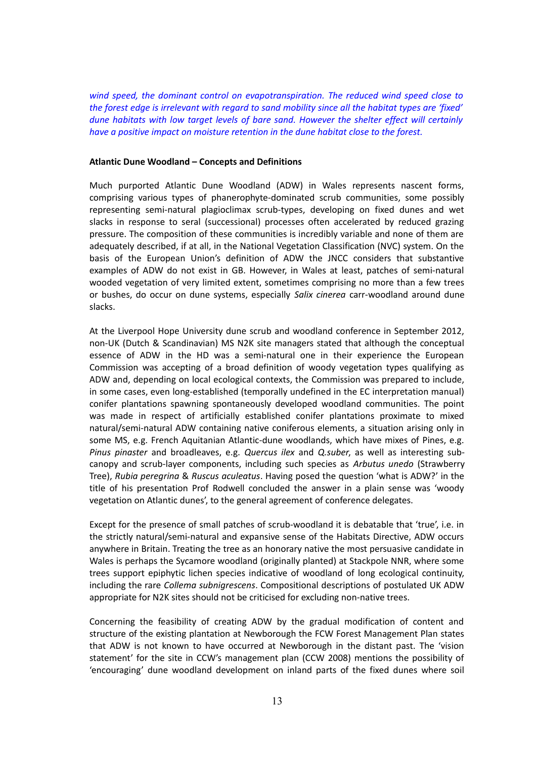*wind speed, the dominant control on evapotranspiration. The reduced wind speed close to the forest edge is irrelevant with regard to sand mobility since all the habitat types are 'fixed' dune habitats with low target levels of bare sand. However the shelter effect will certainly have a positive impact on moisture retention in the dune habitat close to the forest.*

#### **Atlantic Dune Woodland – Concepts and Definitions**

Much purported Atlantic Dune Woodland (ADW) in Wales represents nascent forms, comprising various types of phanerophyte-dominated scrub communities, some possibly representing semi-natural plagioclimax scrub-types, developing on fixed dunes and wet slacks in response to seral (successional) processes often accelerated by reduced grazing pressure. The composition of these communities is incredibly variable and none of them are adequately described, if at all, in the National Vegetation Classification (NVC) system. On the basis of the European Union's definition of ADW the JNCC considers that substantive examples of ADW do not exist in GB. However, in Wales at least, patches of semi-natural wooded vegetation of very limited extent, sometimes comprising no more than a few trees or bushes, do occur on dune systems, especially *Salix cinerea* carr-woodland around dune slacks.

At the Liverpool Hope University dune scrub and woodland conference in September 2012, non-UK (Dutch & Scandinavian) MS N2K site managers stated that although the conceptual essence of ADW in the HD was a semi-natural one in their experience the European Commission was accepting of a broad definition of woody vegetation types qualifying as ADW and, depending on local ecological contexts, the Commission was prepared to include, in some cases, even long-established (temporally undefined in the EC interpretation manual) conifer plantations spawning spontaneously developed woodland communities. The point was made in respect of artificially established conifer plantations proximate to mixed natural/semi-natural ADW containing native coniferous elements, a situation arising only in some MS, e.g. French Aquitanian Atlantic-dune woodlands, which have mixes of Pines, e.g. *Pinus pinaster* and broadleaves, e.g. *Quercus ilex* and *Q.suber*, as well as interesting subcanopy and scrub-layer components, including such species as *Arbutus unedo* (Strawberry Tree), *Rubia peregrina* & *Ruscus aculeatus*. Having posed the question 'what is ADW?' in the title of his presentation Prof Rodwell concluded the answer in a plain sense was 'woody vegetation on Atlantic dunes', to the general agreement of conference delegates.

Except for the presence of small patches of scrub-woodland it is debatable that 'true', i.e. in the strictly natural/semi-natural and expansive sense of the Habitats Directive, ADW occurs anywhere in Britain. Treating the tree as an honorary native the most persuasive candidate in Wales is perhaps the Sycamore woodland (originally planted) at Stackpole NNR, where some trees support epiphytic lichen species indicative of woodland of long ecological continuity, including the rare *Collema subnigrescens*. Compositional descriptions of postulated UK ADW appropriate for N2K sites should not be criticised for excluding non-native trees.

Concerning the feasibility of creating ADW by the gradual modification of content and structure of the existing plantation at Newborough the FCW Forest Management Plan states that ADW is not known to have occurred at Newborough in the distant past. The 'vision statement' for the site in CCW's management plan (CCW 2008) mentions the possibility of 'encouraging' dune woodland development on inland parts of the fixed dunes where soil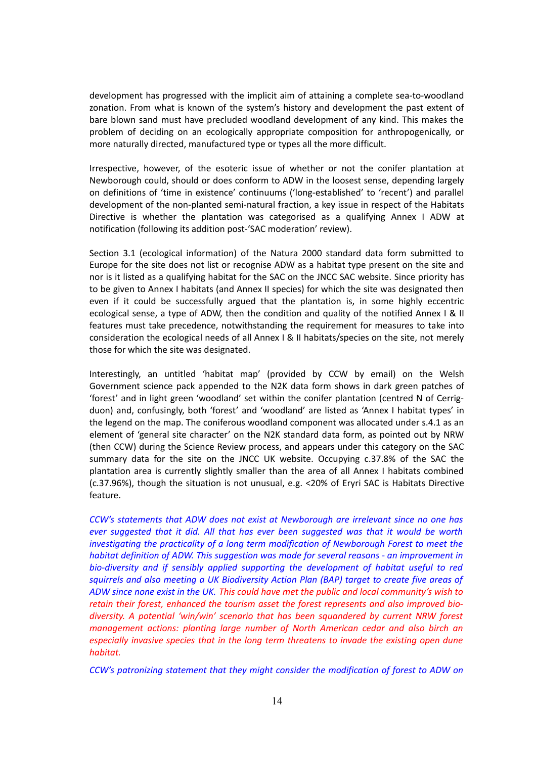development has progressed with the implicit aim of attaining a complete sea-to-woodland zonation. From what is known of the system's history and development the past extent of bare blown sand must have precluded woodland development of any kind. This makes the problem of deciding on an ecologically appropriate composition for anthropogenically, or more naturally directed, manufactured type or types all the more difficult.

Irrespective, however, of the esoteric issue of whether or not the conifer plantation at Newborough could, should or does conform to ADW in the loosest sense, depending largely on definitions of 'time in existence' continuums ('long-established' to 'recent') and parallel development of the non-planted semi-natural fraction, a key issue in respect of the Habitats Directive is whether the plantation was categorised as a qualifying Annex I ADW at notification (following its addition post-'SAC moderation' review).

Section 3.1 (ecological information) of the Natura 2000 standard data form submitted to Europe for the site does not list or recognise ADW as a habitat type present on the site and nor is it listed as a qualifying habitat for the SAC on the JNCC SAC website. Since priority has to be given to Annex I habitats (and Annex II species) for which the site was designated then even if it could be successfully argued that the plantation is, in some highly eccentric ecological sense, a type of ADW, then the condition and quality of the notified Annex I & II features must take precedence, notwithstanding the requirement for measures to take into consideration the ecological needs of all Annex I & II habitats/species on the site, not merely those for which the site was designated.

Interestingly, an untitled 'habitat map' (provided by CCW by email) on the Welsh Government science pack appended to the N2K data form shows in dark green patches of 'forest' and in light green 'woodland' set within the conifer plantation (centred N of Cerrigduon) and, confusingly, both 'forest' and 'woodland' are listed as 'Annex I habitat types' in the legend on the map. The coniferous woodland component was allocated under s.4.1 as an element of 'general site character' on the N2K standard data form, as pointed out by NRW (then CCW) during the Science Review process, and appears under this category on the SAC summary data for the site on the JNCC UK website. Occupying c.37.8% of the SAC the plantation area is currently slightly smaller than the area of all Annex I habitats combined (c.37.96%), though the situation is not unusual, e.g. <20% of Eryri SAC is Habitats Directive feature.

*CCW's statements that ADW does not exist at Newborough are irrelevant since no one has ever suggested that it did. All that has ever been suggested was that it would be worth investigating the practicality of a long term modification of Newborough Forest to meet the habitat definition of ADW. This suggestion was made for several reasons - an improvement in bio-diversity and if sensibly applied supporting the development of habitat useful to red squirrels and also meeting a UK Biodiversity Action Plan (BAP) target to create five areas of ADW since none exist in the UK. This could have met the public and local community's wish to retain their forest, enhanced the tourism asset the forest represents and also improved biodiversity. A potential 'win/win' scenario that has been squandered by current NRW forest management actions: planting large number of North American cedar and also birch an especially invasive species that in the long term threatens to invade the existing open dune habitat.*

*CCW's patronizing statement that they might consider the modification of forest to ADW on*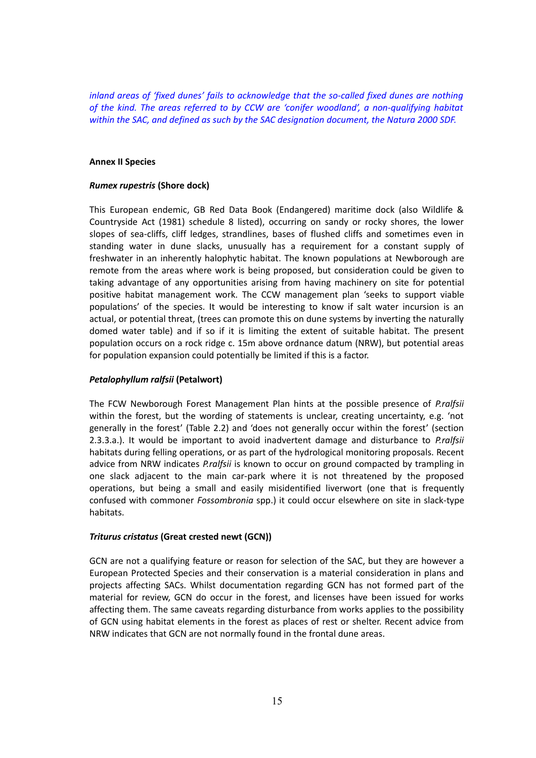*inland areas of 'fixed dunes' fails to acknowledge that the so-called fixed dunes are nothing of the kind. The areas referred to by CCW are 'conifer woodland', a non-qualifying habitat within the SAC, and defined as such by the SAC designation document, the Natura 2000 SDF.*

# **Annex II Species**

# *Rumex rupestris* **(Shore dock)**

This European endemic, GB Red Data Book (Endangered) maritime dock (also Wildlife & Countryside Act (1981) schedule 8 listed), occurring on sandy or rocky shores, the lower slopes of sea-cliffs, cliff ledges, strandlines, bases of flushed cliffs and sometimes even in standing water in dune slacks, unusually has a requirement for a constant supply of freshwater in an inherently halophytic habitat. The known populations at Newborough are remote from the areas where work is being proposed, but consideration could be given to taking advantage of any opportunities arising from having machinery on site for potential positive habitat management work. The CCW management plan 'seeks to support viable populations' of the species. It would be interesting to know if salt water incursion is an actual, or potential threat, (trees can promote this on dune systems by inverting the naturally domed water table) and if so if it is limiting the extent of suitable habitat. The present population occurs on a rock ridge c. 15m above ordnance datum (NRW), but potential areas for population expansion could potentially be limited if this is a factor.

# *Petalophyllum ralfsii* **(Petalwort)**

The FCW Newborough Forest Management Plan hints at the possible presence of *P.ralfsii* within the forest, but the wording of statements is unclear, creating uncertainty, e.g. 'not generally in the forest' (Table 2.2) and 'does not generally occur within the forest' (section 2.3.3.a.). It would be important to avoid inadvertent damage and disturbance to *P.ralfsii* habitats during felling operations, or as part of the hydrological monitoring proposals. Recent advice from NRW indicates *P.ralfsii* is known to occur on ground compacted by trampling in one slack adjacent to the main car-park where it is not threatened by the proposed operations, but being a small and easily misidentified liverwort (one that is frequently confused with commoner *Fossombronia* spp.) it could occur elsewhere on site in slack-type habitats.

# *Triturus cristatus* **(Great crested newt (GCN))**

GCN are not a qualifying feature or reason for selection of the SAC, but they are however a European Protected Species and their conservation is a material consideration in plans and projects affecting SACs. Whilst documentation regarding GCN has not formed part of the material for review, GCN do occur in the forest, and licenses have been issued for works affecting them. The same caveats regarding disturbance from works applies to the possibility of GCN using habitat elements in the forest as places of rest or shelter. Recent advice from NRW indicates that GCN are not normally found in the frontal dune areas.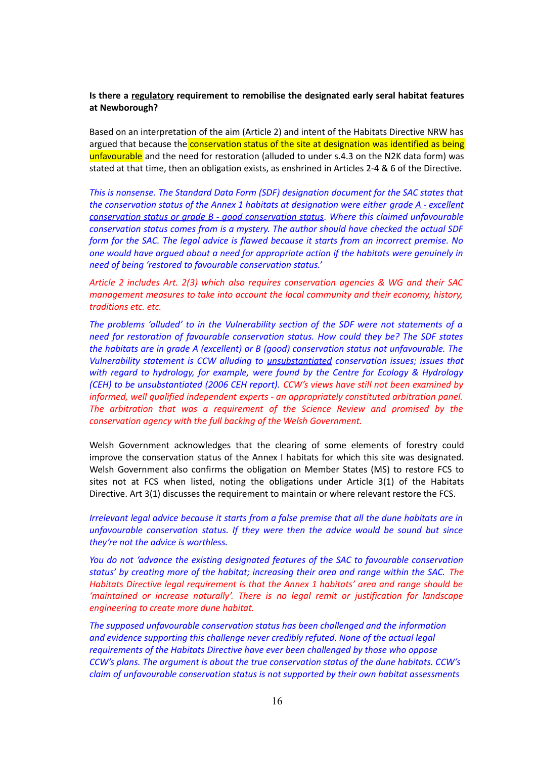# **Is there a regulatory requirement to remobilise the designated early seral habitat features at Newborough?**

Based on an interpretation of the aim (Article 2) and intent of the Habitats Directive NRW has argued that because the **conservation status of the site at designation was identified as being** unfavourable and the need for restoration (alluded to under s.4.3 on the N2K data form) was stated at that time, then an obligation exists, as enshrined in Articles 2-4 & 6 of the Directive.

*This is nonsense. The Standard Data Form (SDF) designation document for the SAC states that the conservation status of the Annex 1 habitats at designation were either grade A - excellent conservation status or grade B - good conservation status. Where this claimed unfavourable conservation status comes from is a mystery. The author should have checked the actual SDF form for the SAC. The legal advice is flawed because it starts from an incorrect premise. No one would have argued about a need for appropriate action if the habitats were genuinely in need of being 'restored to favourable conservation status.'*

*Article 2 includes Art. 2(3) which also requires conservation agencies & WG and their SAC management measures to take into account the local community and their economy, history, traditions etc. etc.*

*The problems 'alluded' to in the Vulnerability section of the SDF were not statements of a need for restoration of favourable conservation status. How could they be? The SDF states the habitats are in grade A (excellent) or B (good) conservation status not unfavourable. The Vulnerability statement is CCW alluding to unsubstantiated conservation issues; issues that with regard to hydrology, for example, were found by the Centre for Ecology & Hydrology (CEH) to be unsubstantiated (2006 CEH report). CCW's views have still not been examined by informed, well qualified independent experts - an appropriately constituted arbitration panel. The arbitration that was a requirement of the Science Review and promised by the conservation agency with the full backing of the Welsh Government.*

Welsh Government acknowledges that the clearing of some elements of forestry could improve the conservation status of the Annex I habitats for which this site was designated. Welsh Government also confirms the obligation on Member States (MS) to restore FCS to sites not at FCS when listed, noting the obligations under Article 3(1) of the Habitats Directive. Art 3(1) discusses the requirement to maintain or where relevant restore the FCS.

*Irrelevant legal advice because it starts from a false premise that all the dune habitats are in unfavourable conservation status. If they were then the advice would be sound but since they're not the advice is worthless.*

*You do not 'advance the existing designated features of the SAC to favourable conservation status' by creating more of the habitat; increasing their area and range within the SAC. The Habitats Directive legal requirement is that the Annex 1 habitats' area and range should be 'maintained or increase naturally'. There is no legal remit or justification for landscape engineering to create more dune habitat.*

*The supposed unfavourable conservation status has been challenged and the information and evidence supporting this challenge never credibly refuted. None of the actual legal requirements of the Habitats Directive have ever been challenged by those who oppose CCW's plans. The argument is about the true conservation status of the dune habitats. CCW's claim of unfavourable conservation status is not supported by their own habitat assessments*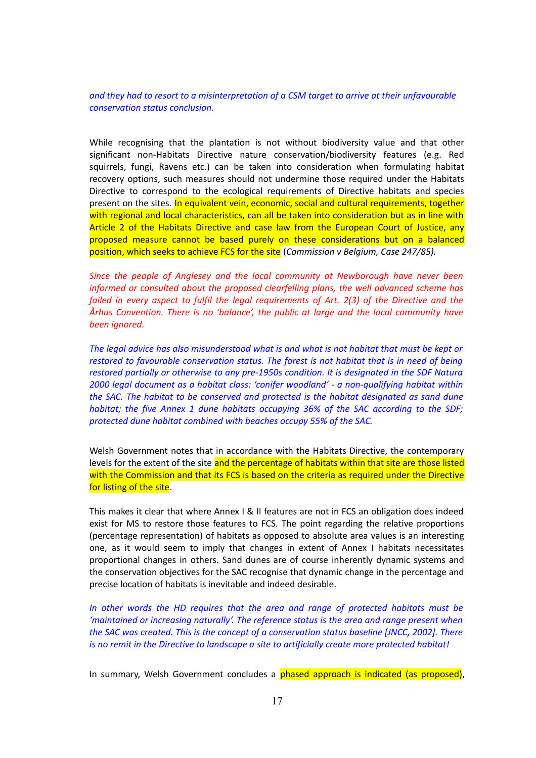*and they had to resort to a misinterpretation of a CSM target to arrive at their unfavourable conservation status conclusion.*

While recognising that the plantation is not without biodiversity value and that other significant non-Habitats Directive nature conservation/biodiversity features (e.g. Red squirrels, fungi, Ravens etc.) can be taken into consideration when formulating habitat recovery options, such measures should not undermine those required under the Habitats Directive to correspond to the ecological requirements of Directive habitats and species present on the sites. In equivalent vein, economic, social and cultural requirements, together with regional and local characteristics, can all be taken into consideration but as in line with Article 2 of the Habitats Directive and case law from the European Court of Justice, any proposed measure cannot be based purely on these considerations but on a balanced position, which seeks to achieve FCS for the site (*Commission v Belgium, Case 247/85).* 

*Since the people of Anglesey and the local community at Newborough have never been informed or consulted about the proposed clearfelling plans, the well advanced scheme has failed in every aspect to fulfil the legal requirements of Art. 2(3) of the Directive and the Århus Convention. There is no 'balance', the public at large and the local community have been ignored.*

*The legal advice has also misunderstood what is and what is not habitat that must be kept or restored to favourable conservation status. The forest is not habitat that is in need of being restored partially or otherwise to any pre-1950s condition. It is designated in the SDF Natura 2000 legal document as a habitat class: 'conifer woodland' - a non-qualifying habitat within the SAC. The habitat to be conserved and protected is the habitat designated as sand dune habitat; the five Annex 1 dune habitats occupying 36% of the SAC according to the SDF; protected dune habitat combined with beaches occupy 55% of the SAC.*

Welsh Government notes that in accordance with the Habitats Directive, the contemporary levels for the extent of the site and the percentage of habitats within that site are those listed with the Commission and that its FCS is based on the criteria as required under the Directive for listing of the site.

This makes it clear that where Annex I & II features are not in FCS an obligation does indeed exist for MS to restore those features to FCS. The point regarding the relative proportions (percentage representation) of habitats as opposed to absolute area values is an interesting one, as it would seem to imply that changes in extent of Annex I habitats necessitates proportional changes in others. Sand dunes are of course inherently dynamic systems and the conservation objectives for the SAC recognise that dynamic change in the percentage and precise location of habitats is inevitable and indeed desirable.

*In other words the HD requires that the area and range of protected habitats must be 'maintained or increasing naturally'. The reference status is the area and range present when the SAC was created. This is the concept of a conservation status baseline [JNCC, 2002]. There is no remit in the Directive to landscape a site to artificially create more protected habitat!*

In summary, Welsh Government concludes a phased approach is indicated (as proposed),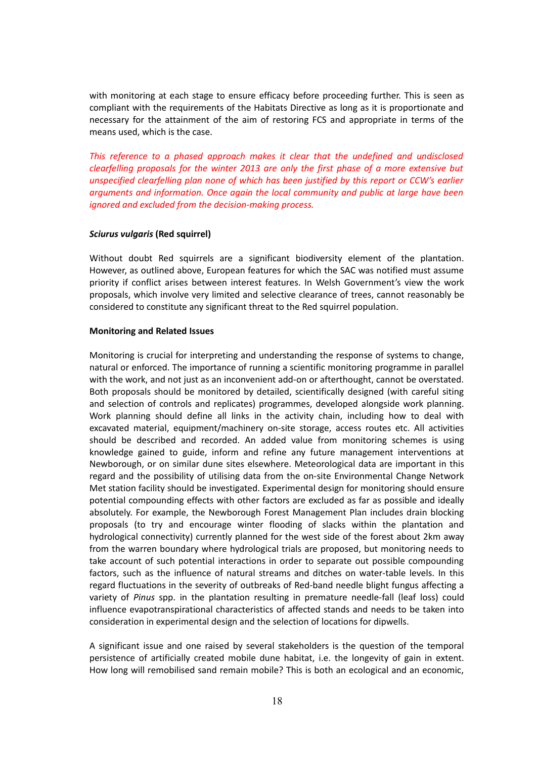with monitoring at each stage to ensure efficacy before proceeding further. This is seen as compliant with the requirements of the Habitats Directive as long as it is proportionate and necessary for the attainment of the aim of restoring FCS and appropriate in terms of the means used, which is the case.

*This reference to a phased approach makes it clear that the undefined and undisclosed clearfelling proposals for the winter 2013 are only the first phase of a more extensive but unspecified clearfelling plan none of which has been justified by this report or CCW's earlier arguments and information. Once again the local community and public at large have been ignored and excluded from the decision-making process.*

# *Sciurus vulgaris* **(Red squirrel)**

Without doubt Red squirrels are a significant biodiversity element of the plantation. However, as outlined above, European features for which the SAC was notified must assume priority if conflict arises between interest features. In Welsh Government's view the work proposals, which involve very limited and selective clearance of trees, cannot reasonably be considered to constitute any significant threat to the Red squirrel population.

# **Monitoring and Related Issues**

Monitoring is crucial for interpreting and understanding the response of systems to change, natural or enforced. The importance of running a scientific monitoring programme in parallel with the work, and not just as an inconvenient add-on or afterthought, cannot be overstated. Both proposals should be monitored by detailed, scientifically designed (with careful siting and selection of controls and replicates) programmes, developed alongside work planning. Work planning should define all links in the activity chain, including how to deal with excavated material, equipment/machinery on-site storage, access routes etc. All activities should be described and recorded. An added value from monitoring schemes is using knowledge gained to guide, inform and refine any future management interventions at Newborough, or on similar dune sites elsewhere. Meteorological data are important in this regard and the possibility of utilising data from the on-site Environmental Change Network Met station facility should be investigated. Experimental design for monitoring should ensure potential compounding effects with other factors are excluded as far as possible and ideally absolutely. For example, the Newborough Forest Management Plan includes drain blocking proposals (to try and encourage winter flooding of slacks within the plantation and hydrological connectivity) currently planned for the west side of the forest about 2km away from the warren boundary where hydrological trials are proposed, but monitoring needs to take account of such potential interactions in order to separate out possible compounding factors, such as the influence of natural streams and ditches on water-table levels. In this regard fluctuations in the severity of outbreaks of Red-band needle blight fungus affecting a variety of *Pinus* spp. in the plantation resulting in premature needle-fall (leaf loss) could influence evapotranspirational characteristics of affected stands and needs to be taken into consideration in experimental design and the selection of locations for dipwells.

A significant issue and one raised by several stakeholders is the question of the temporal persistence of artificially created mobile dune habitat, i.e. the longevity of gain in extent. How long will remobilised sand remain mobile? This is both an ecological and an economic,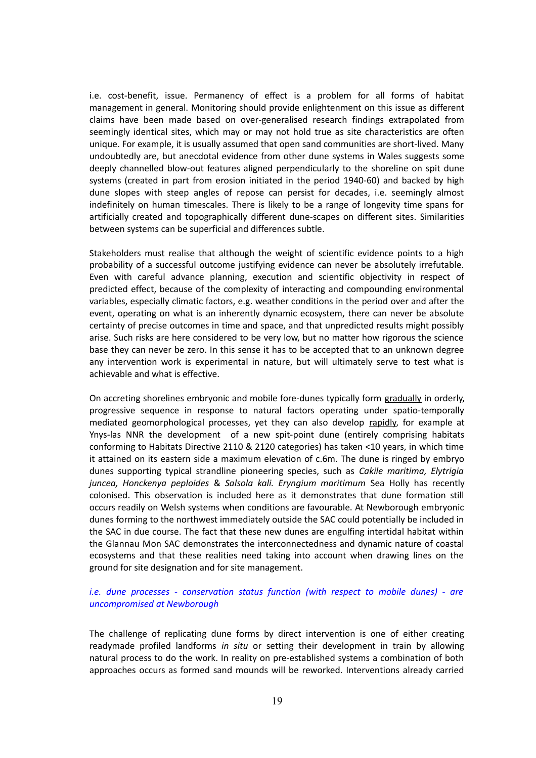i.e. cost-benefit, issue. Permanency of effect is a problem for all forms of habitat management in general. Monitoring should provide enlightenment on this issue as different claims have been made based on over-generalised research findings extrapolated from seemingly identical sites, which may or may not hold true as site characteristics are often unique. For example, it is usually assumed that open sand communities are short-lived. Many undoubtedly are, but anecdotal evidence from other dune systems in Wales suggests some deeply channelled blow-out features aligned perpendicularly to the shoreline on spit dune systems (created in part from erosion initiated in the period 1940-60) and backed by high dune slopes with steep angles of repose can persist for decades, i.e. seemingly almost indefinitely on human timescales. There is likely to be a range of longevity time spans for artificially created and topographically different dune-scapes on different sites. Similarities between systems can be superficial and differences subtle.

Stakeholders must realise that although the weight of scientific evidence points to a high probability of a successful outcome justifying evidence can never be absolutely irrefutable. Even with careful advance planning, execution and scientific objectivity in respect of predicted effect, because of the complexity of interacting and compounding environmental variables, especially climatic factors, e.g. weather conditions in the period over and after the event, operating on what is an inherently dynamic ecosystem, there can never be absolute certainty of precise outcomes in time and space, and that unpredicted results might possibly arise. Such risks are here considered to be very low, but no matter how rigorous the science base they can never be zero. In this sense it has to be accepted that to an unknown degree any intervention work is experimental in nature, but will ultimately serve to test what is achievable and what is effective.

On accreting shorelines embryonic and mobile fore-dunes typically form gradually in orderly, progressive sequence in response to natural factors operating under spatio-temporally mediated geomorphological processes, yet they can also develop rapidly, for example at Ynys-las NNR the development of a new spit-point dune (entirely comprising habitats conforming to Habitats Directive 2110 & 2120 categories) has taken <10 years, in which time it attained on its eastern side a maximum elevation of c.6m. The dune is ringed by embryo dunes supporting typical strandline pioneering species, such as *Cakile maritima, Elytrigia juncea, Honckenya peploides* & *Salsola kali. Eryngium maritimum* Sea Holly has recently colonised. This observation is included here as it demonstrates that dune formation still occurs readily on Welsh systems when conditions are favourable. At Newborough embryonic dunes forming to the northwest immediately outside the SAC could potentially be included in the SAC in due course. The fact that these new dunes are engulfing intertidal habitat within the Glannau Mon SAC demonstrates the interconnectedness and dynamic nature of coastal ecosystems and that these realities need taking into account when drawing lines on the ground for site designation and for site management.

# *i.e. dune processes - conservation status function (with respect to mobile dunes) - are uncompromised at Newborough*

The challenge of replicating dune forms by direct intervention is one of either creating readymade profiled landforms *in situ* or setting their development in train by allowing natural process to do the work. In reality on pre-established systems a combination of both approaches occurs as formed sand mounds will be reworked. Interventions already carried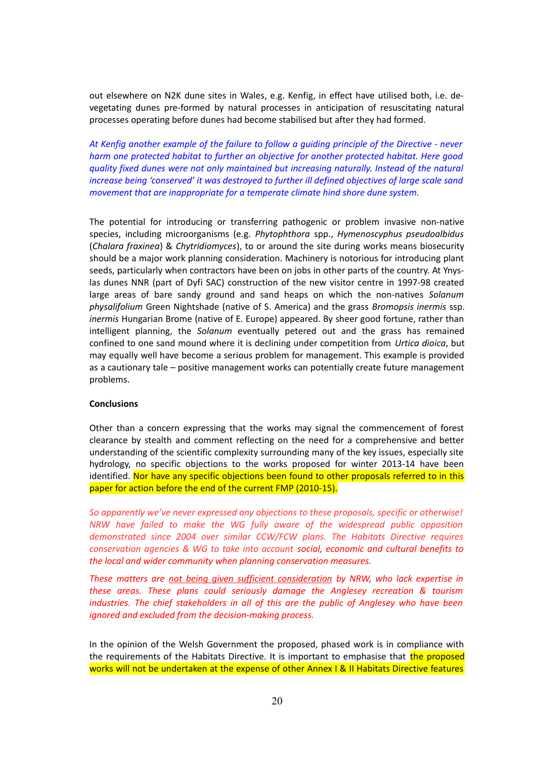out elsewhere on N2K dune sites in Wales, e.g. Kenfig, in effect have utilised both, i.e. devegetating dunes pre-formed by natural processes in anticipation of resuscitating natural processes operating before dunes had become stabilised but after they had formed.

*At Kenfig another example of the failure to follow a guiding principle of the Directive - never harm one protected habitat to further an objective for another protected habitat. Here good quality fixed dunes were not only maintained but increasing naturally. Instead of the natural increase being 'conserved' it was destroyed to further ill defined objectives of large scale sand movement that are inappropriate for a temperate climate hind shore dune system.*

The potential for introducing or transferring pathogenic or problem invasive non-native species, including microorganisms (e.g. *Phytophthora* spp., *Hymenoscyphus pseudoalbidus* (*Chalara fraxinea*) & *Chytridiomyces*), to or around the site during works means biosecurity should be a major work planning consideration. Machinery is notorious for introducing plant seeds, particularly when contractors have been on jobs in other parts of the country. At Ynyslas dunes NNR (part of Dyfi SAC) construction of the new visitor centre in 1997-98 created large areas of bare sandy ground and sand heaps on which the non-natives *Solanum physalifolium* Green Nightshade (native of S. America) and the grass *Bromopsis inermis* ssp. *inermis* Hungarian Brome (native of E. Europe) appeared. By sheer good fortune, rather than intelligent planning, the *Solanum* eventually petered out and the grass has remained confined to one sand mound where it is declining under competition from *Urtica dioica*, but may equally well have become a serious problem for management. This example is provided as a cautionary tale – positive management works can potentially create future management problems.

# **Conclusions**

Other than a concern expressing that the works may signal the commencement of forest clearance by stealth and comment reflecting on the need for a comprehensive and better understanding of the scientific complexity surrounding many of the key issues, especially site hydrology, no specific objections to the works proposed for winter 2013-14 have been identified. Nor have any specific objections been found to other proposals referred to in this paper for action before the end of the current FMP (2010-15).

*So apparently we've never expressed any objections to these proposals, specific or otherwise! NRW have failed to make the WG fully aware of the widespread public opposition demonstrated since 2004 over similar CCW/FCW plans. The Habitats Directive requires conservation agencies & WG to take into account social, economic and cultural benefits to the local and wider community when planning conservation measures.* 

*These matters are not being given sufficient consideration by NRW, who lack expertise in these areas. These plans could seriously damage the Anglesey recreation & tourism industries. The chief stakeholders in all of this are the public of Anglesey who have been ignored and excluded from the decision-making process.* 

In the opinion of the Welsh Government the proposed, phased work is in compliance with the requirements of the Habitats Directive. It is important to emphasise that the proposed works will not be undertaken at the expense of other Annex I & II Habitats Directive features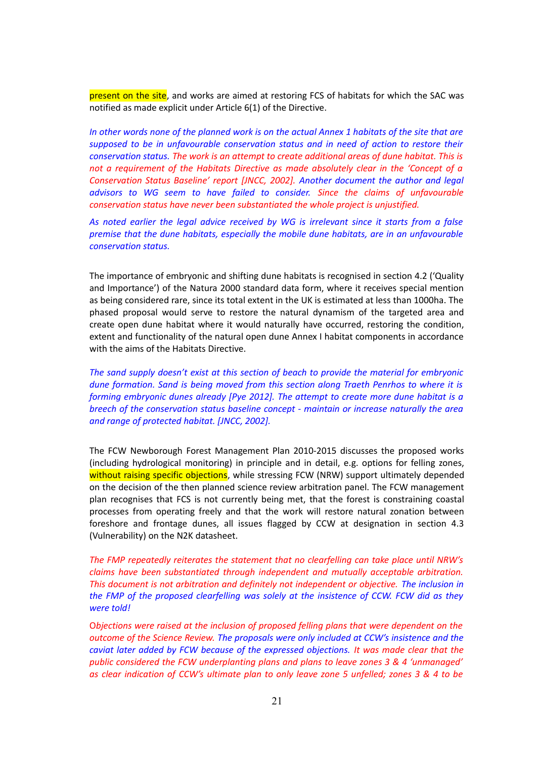present on the site, and works are aimed at restoring FCS of habitats for which the SAC was notified as made explicit under Article 6(1) of the Directive.

*In other words none of the planned work is on the actual Annex 1 habitats of the site that are supposed to be in unfavourable conservation status and in need of action to restore their conservation status. The work is an attempt to create additional areas of dune habitat. This is not a requirement of the Habitats Directive as made absolutely clear in the 'Concept of a Conservation Status Baseline' report [JNCC, 2002]. Another document the author and legal advisors to WG seem to have failed to consider. Since the claims of unfavourable conservation status have never been substantiated the whole project is unjustified.*

*As noted earlier the legal advice received by WG is irrelevant since it starts from a false premise that the dune habitats, especially the mobile dune habitats, are in an unfavourable conservation status.* 

The importance of embryonic and shifting dune habitats is recognised in section 4.2 ('Quality and Importance') of the Natura 2000 standard data form, where it receives special mention as being considered rare, since its total extent in the UK is estimated at less than 1000ha. The phased proposal would serve to restore the natural dynamism of the targeted area and create open dune habitat where it would naturally have occurred, restoring the condition, extent and functionality of the natural open dune Annex I habitat components in accordance with the aims of the Habitats Directive.

*The sand supply doesn't exist at this section of beach to provide the material for embryonic dune formation. Sand is being moved from this section along Traeth Penrhos to where it is forming embryonic dunes already [Pye 2012]. The attempt to create more dune habitat is a breech of the conservation status baseline concept - maintain or increase naturally the area and range of protected habitat. [JNCC, 2002].*

The FCW Newborough Forest Management Plan 2010-2015 discusses the proposed works (including hydrological monitoring) in principle and in detail, e.g. options for felling zones, without raising specific objections, while stressing FCW (NRW) support ultimately depended on the decision of the then planned science review arbitration panel. The FCW management plan recognises that FCS is not currently being met, that the forest is constraining coastal processes from operating freely and that the work will restore natural zonation between foreshore and frontage dunes, all issues flagged by CCW at designation in section 4.3 (Vulnerability) on the N2K datasheet.

*The FMP repeatedly reiterates the statement that no clearfelling can take place until NRW's claims have been substantiated through independent and mutually acceptable arbitration. This document is not arbitration and definitely not independent or objective. The inclusion in the FMP of the proposed clearfelling was solely at the insistence of CCW. FCW did as they were told!*

O*bjections were raised at the inclusion of proposed felling plans that were dependent on the outcome of the Science Review. The proposals were only included at CCW's insistence and the caviat later added by FCW because of the expressed objections. It was made clear that the public considered the FCW underplanting plans and plans to leave zones 3 & 4 'unmanaged' as clear indication of CCW's ultimate plan to only leave zone 5 unfelled; zones 3 & 4 to be*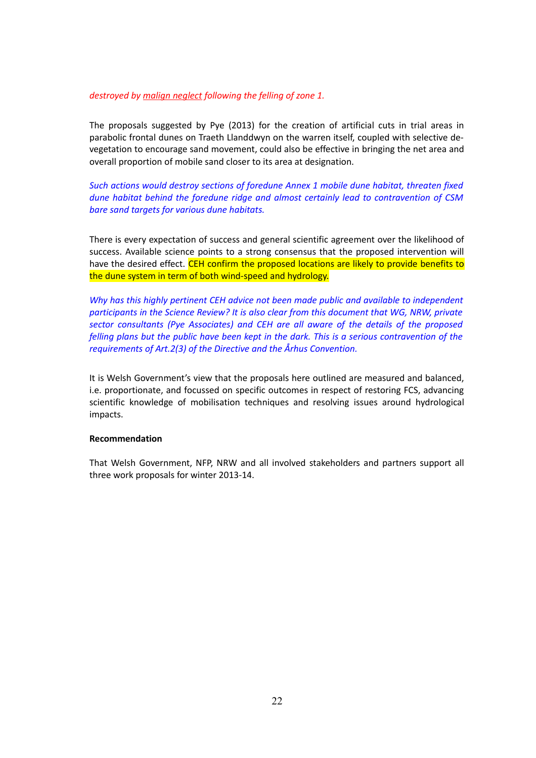# *destroyed by malign neglect following the felling of zone 1.*

The proposals suggested by Pye (2013) for the creation of artificial cuts in trial areas in parabolic frontal dunes on Traeth Llanddwyn on the warren itself, coupled with selective devegetation to encourage sand movement, could also be effective in bringing the net area and overall proportion of mobile sand closer to its area at designation.

*Such actions would destroy sections of foredune Annex 1 mobile dune habitat, threaten fixed dune habitat behind the foredune ridge and almost certainly lead to contravention of CSM bare sand targets for various dune habitats.*

There is every expectation of success and general scientific agreement over the likelihood of success. Available science points to a strong consensus that the proposed intervention will have the desired effect. CEH confirm the proposed locations are likely to provide benefits to the dune system in term of both wind-speed and hydrology.

*Why has this highly pertinent CEH advice not been made public and available to independent participants in the Science Review? It is also clear from this document that WG, NRW, private sector consultants (Pye Associates) and CEH are all aware of the details of the proposed felling plans but the public have been kept in the dark. This is a serious contravention of the requirements of Art.2(3) of the Directive and the Århus Convention.*

It is Welsh Government's view that the proposals here outlined are measured and balanced, i.e. proportionate, and focussed on specific outcomes in respect of restoring FCS, advancing scientific knowledge of mobilisation techniques and resolving issues around hydrological impacts.

#### **Recommendation**

That Welsh Government, NFP, NRW and all involved stakeholders and partners support all three work proposals for winter 2013-14.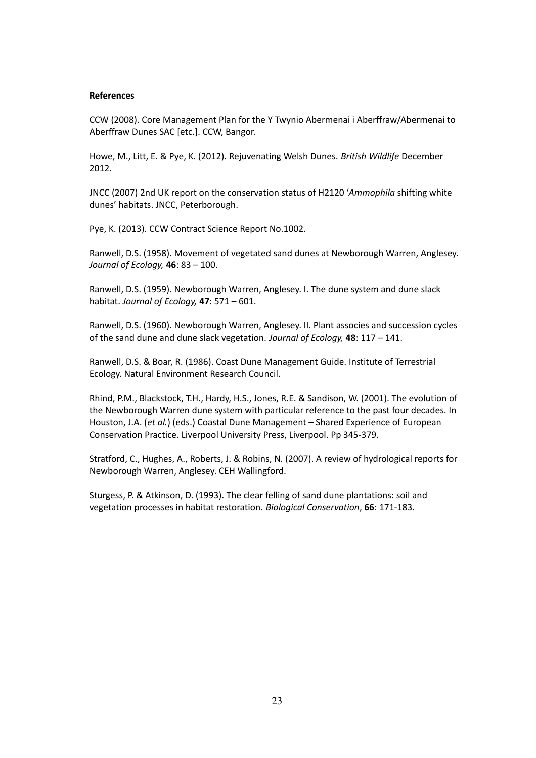# **References**

CCW (2008). Core Management Plan for the Y Twynio Abermenai i Aberffraw/Abermenai to Aberffraw Dunes SAC [etc.]. CCW, Bangor.

Howe, M., Litt, E. & Pye, K. (2012). Rejuvenating Welsh Dunes. *British Wildlife* December 2012.

JNCC (2007) 2nd UK report on the conservation status of H2120 '*Ammophila* shifting white dunes' habitats. JNCC, Peterborough.

Pye, K. (2013). CCW Contract Science Report No.1002.

Ranwell, D.S. (1958). Movement of vegetated sand dunes at Newborough Warren, Anglesey. *Journal of Ecology,* **46**: 83 – 100.

Ranwell, D.S. (1959). Newborough Warren, Anglesey. I. The dune system and dune slack habitat. *Journal of Ecology,* **47**: 571 – 601.

Ranwell, D.S. (1960). Newborough Warren, Anglesey. II. Plant associes and succession cycles of the sand dune and dune slack vegetation. *Journal of Ecology,* **48**: 117 – 141.

Ranwell, D.S. & Boar, R. (1986). Coast Dune Management Guide. Institute of Terrestrial Ecology. Natural Environment Research Council.

Rhind, P.M., Blackstock, T.H., Hardy, H.S., Jones, R.E. & Sandison, W. (2001). The evolution of the Newborough Warren dune system with particular reference to the past four decades. In Houston, J.A. (*et al.*) (eds.) Coastal Dune Management – Shared Experience of European Conservation Practice. Liverpool University Press, Liverpool. Pp 345-379.

Stratford, C., Hughes, A., Roberts, J. & Robins, N. (2007). A review of hydrological reports for Newborough Warren, Anglesey. CEH Wallingford.

Sturgess, P. & Atkinson, D. (1993). The clear felling of sand dune plantations: soil and vegetation processes in habitat restoration. *Biological Conservation*, **66**: 171-183.